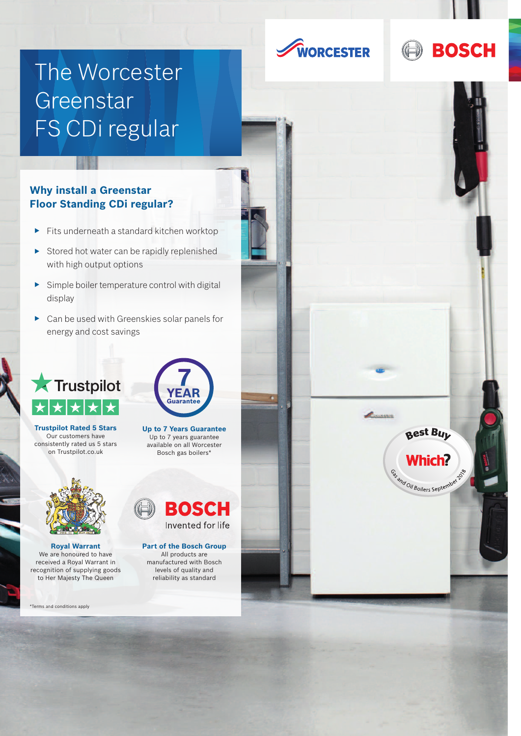



# The Worcester Greenstar FS CDi regular

### **Why install a Greenstar Floor Standing CDi regular?**

- $\blacktriangleright$  Fits underneath a standard kitchen worktop
- $\triangleright$  Stored hot water can be rapidly replenished with high output options
- $\blacktriangleright$  Simple boiler temperature control with digital display
- $\triangleright$  Can be used with Greenskies solar panels for energy and cost savings

### **Trustpilot**  $\star$  $\star$  $\bigstar$







\*Terms and conditions apply



**Up to 7 Years Guarantee** Up to 7 years guarantee available on all Worcester Bosch gas boilers\*



### **Part of the Bosch Group**

All products are manufactured with Bosch levels of quality and reliability as standard



Commission